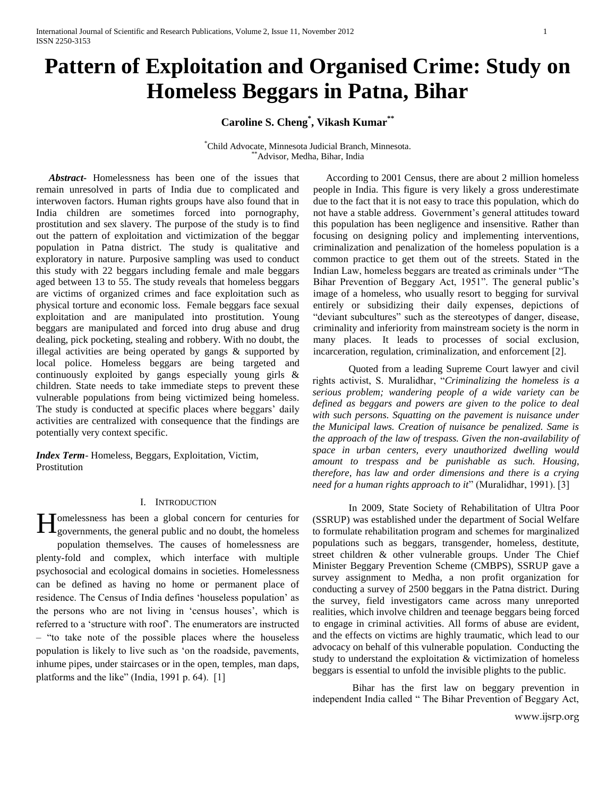# **Pattern of Exploitation and Organised Crime: Study on Homeless Beggars in Patna, Bihar**

## **Caroline S. Cheng\* , Vikash Kumar\*\***

\*Child Advocate, Minnesota Judicial Branch, Minnesota. \*\*Advisor, Medha, Bihar, India

 *Abstract-* Homelessness has been one of the issues that remain unresolved in parts of India due to complicated and interwoven factors. Human rights groups have also found that in India children are sometimes forced into pornography, prostitution and sex slavery. The purpose of the study is to find out the pattern of exploitation and victimization of the beggar population in Patna district. The study is qualitative and exploratory in nature. Purposive sampling was used to conduct this study with 22 beggars including female and male beggars aged between 13 to 55. The study reveals that homeless beggars are victims of organized crimes and face exploitation such as physical torture and economic loss. Female beggars face sexual exploitation and are manipulated into prostitution. Young beggars are manipulated and forced into drug abuse and drug dealing, pick pocketing, stealing and robbery. With no doubt, the illegal activities are being operated by gangs & supported by local police. Homeless beggars are being targeted and continuously exploited by gangs especially young girls & children. State needs to take immediate steps to prevent these vulnerable populations from being victimized being homeless. The study is conducted at specific places where beggars' daily activities are centralized with consequence that the findings are potentially very context specific.

*Index Term*- Homeless, Beggars, Exploitation, Victim, Prostitution

#### I. INTRODUCTION

Tomelessness has been a global concern for centuries for **H** omelessness has been a global concern for centuries for governments, the general public and no doubt, the homeless population themselves. The causes of homelessness are plenty-fold and complex, which interface with multiple psychosocial and ecological domains in societies. Homelessness can be defined as having no home or permanent place of residence. The Census of India defines "houseless population" as the persons who are not living in "census houses", which is referred to a "structure with roof". The enumerators are instructed – "to take note of the possible places where the houseless population is likely to live such as "on the roadside, pavements, inhume pipes, under staircases or in the open, temples, man daps, platforms and the like" (India, 1991 p. 64). [1]

 According to 2001 Census, there are about 2 million homeless people in India. This figure is very likely a gross underestimate due to the fact that it is not easy to trace this population, which do not have a stable address. Government"s general attitudes toward this population has been negligence and insensitive. Rather than focusing on designing policy and implementing interventions, criminalization and penalization of the homeless population is a common practice to get them out of the streets. Stated in the Indian Law, homeless beggars are treated as criminals under "The Bihar Prevention of Beggary Act, 1951". The general public"s image of a homeless, who usually resort to begging for survival entirely or subsidizing their daily expenses, depictions of "deviant subcultures" such as the stereotypes of danger, disease, criminality and inferiority from mainstream society is the norm in many places. It leads to processes of social exclusion, incarceration, regulation, criminalization, and enforcement [2].

Quoted from a leading Supreme Court lawyer and civil rights activist, S. Muralidhar, "*Criminalizing the homeless is a serious problem; wandering people of a wide variety can be defined as beggars and powers are given to the police to deal with such persons. Squatting on the pavement is nuisance under the Municipal laws. Creation of nuisance be penalized. Same is the approach of the law of trespass. Given the non-availability of space in urban centers, every unauthorized dwelling would amount to trespass and be punishable as such. Housing, therefore, has law and order dimensions and there is a crying need for a human rights approach to it*" (Muralidhar, 1991). [3]

In 2009, State Society of Rehabilitation of Ultra Poor (SSRUP) was established under the department of Social Welfare to formulate rehabilitation program and schemes for marginalized populations such as beggars, transgender, homeless, destitute, street children & other vulnerable groups. Under The Chief Minister Beggary Prevention Scheme (CMBPS), SSRUP gave a survey assignment to Medha, a non profit organization for conducting a survey of 2500 beggars in the Patna district. During the survey, field investigators came across many unreported realities, which involve children and teenage beggars being forced to engage in criminal activities. All forms of abuse are evident, and the effects on victims are highly traumatic, which lead to our advocacy on behalf of this vulnerable population. Conducting the study to understand the exploitation & victimization of homeless beggars is essential to unfold the invisible plights to the public.

Bihar has the first law on beggary prevention in independent India called " The Bihar Prevention of Beggary Act,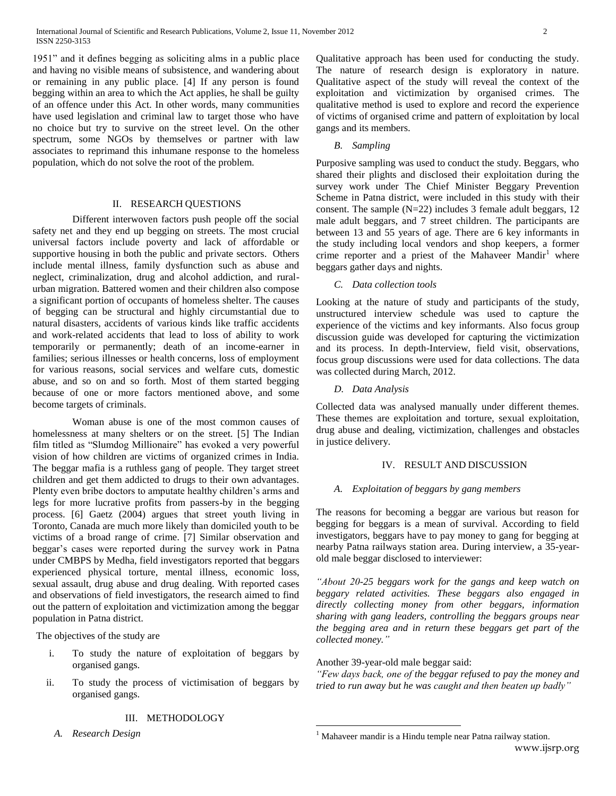1951" and it defines begging as soliciting alms in a public place and having no visible means of subsistence, and wandering about or remaining in any public place. [4] If any person is found begging within an area to which the Act applies, he shall be guilty of an offence under this Act. In other words, many communities have used legislation and criminal law to target those who have no choice but try to survive on the street level. On the other spectrum, some NGOs by themselves or partner with law associates to reprimand this inhumane response to the homeless population, which do not solve the root of the problem.

#### II. RESEARCH QUESTIONS

Different interwoven factors push people off the social safety net and they end up begging on streets. The most crucial universal factors include poverty and lack of affordable or supportive housing in both the public and private sectors. Others include mental illness, family dysfunction such as abuse and neglect, criminalization, drug and alcohol addiction, and ruralurban migration. Battered women and their children also compose a significant portion of occupants of homeless shelter. The causes of begging can be structural and highly circumstantial due to natural disasters, accidents of various kinds like traffic accidents and work-related accidents that lead to loss of ability to work temporarily or permanently; death of an income-earner in families; serious illnesses or health concerns, loss of employment for various reasons, social services and welfare cuts, domestic abuse, and so on and so forth. Most of them started begging because of one or more factors mentioned above, and some become targets of criminals.

Woman abuse is one of the most common causes of homelessness at many shelters or on the street. [5] The Indian film titled as "Slumdog Millionaire" has evoked a very powerful vision of how children are victims of organized crimes in India. The beggar mafia is a ruthless gang of people. They target street children and get them addicted to drugs to their own advantages. Plenty even bribe doctors to amputate healthy children's arms and legs for more lucrative profits from passers-by in the begging process. [6] Gaetz (2004) argues that street youth living in Toronto, Canada are much more likely than domiciled youth to be victims of a broad range of crime. [7] Similar observation and beggar"s cases were reported during the survey work in Patna under CMBPS by Medha, field investigators reported that beggars experienced physical torture, mental illness, economic loss, sexual assault, drug abuse and drug dealing. With reported cases and observations of field investigators, the research aimed to find out the pattern of exploitation and victimization among the beggar population in Patna district.

The objectives of the study are

- i. To study the nature of exploitation of beggars by organised gangs.
- ii. To study the process of victimisation of beggars by organised gangs.

#### III. METHODOLOGY

*A. Research Design*

Qualitative approach has been used for conducting the study. The nature of research design is exploratory in nature. Qualitative aspect of the study will reveal the context of the exploitation and victimization by organised crimes. The qualitative method is used to explore and record the experience of victims of organised crime and pattern of exploitation by local gangs and its members.

*B. Sampling*

Purposive sampling was used to conduct the study. Beggars, who shared their plights and disclosed their exploitation during the survey work under The Chief Minister Beggary Prevention Scheme in Patna district, were included in this study with their consent. The sample (N=22) includes 3 female adult beggars, 12 male adult beggars, and 7 street children. The participants are between 13 and 55 years of age. There are 6 key informants in the study including local vendors and shop keepers, a former crime reporter and a priest of the Mahaveer Mandir<sup>1</sup> where beggars gather days and nights.

#### *C. Data collection tools*

Looking at the nature of study and participants of the study, unstructured interview schedule was used to capture the experience of the victims and key informants. Also focus group discussion guide was developed for capturing the victimization and its process. In depth-Interview, field visit, observations, focus group discussions were used for data collections. The data was collected during March, 2012.

*D. Data Analysis*

Collected data was analysed manually under different themes. These themes are exploitation and torture, sexual exploitation, drug abuse and dealing, victimization, challenges and obstacles in justice delivery.

## IV. RESULT AND DISCUSSION

#### *A. Exploitation of beggars by gang members*

The reasons for becoming a beggar are various but reason for begging for beggars is a mean of survival. According to field investigators, beggars have to pay money to gang for begging at nearby Patna railways station area. During interview, a 35-yearold male beggar disclosed to interviewer:

*"About 20-25 beggars work for the gangs and keep watch on beggary related activities. These beggars also engaged in directly collecting money from other beggars, information sharing with gang leaders, controlling the beggars groups near the begging area and in return these beggars get part of the collected money."*

Another 39-year-old male beggar said:

 $\overline{a}$ 

*"Few days back, one of the beggar refused to pay the money and tried to run away but he was caught and then beaten up badly"*

<sup>&</sup>lt;sup>1</sup> Mahaveer mandir is a Hindu temple near Patna railway station.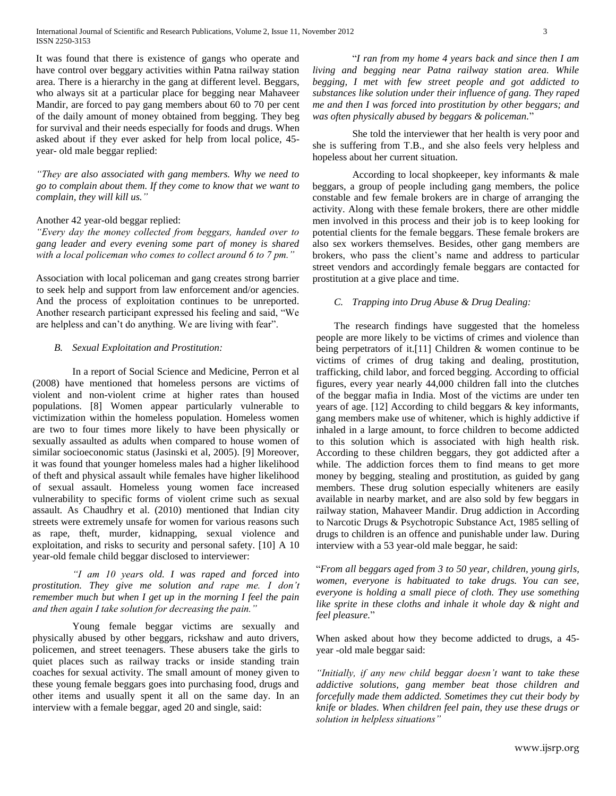It was found that there is existence of gangs who operate and have control over beggary activities within Patna railway station area. There is a hierarchy in the gang at different level. Beggars, who always sit at a particular place for begging near Mahaveer Mandir, are forced to pay gang members about 60 to 70 per cent of the daily amount of money obtained from begging. They beg for survival and their needs especially for foods and drugs. When asked about if they ever asked for help from local police, 45 year- old male beggar replied:

*"They are also associated with gang members. Why we need to go to complain about them. If they come to know that we want to complain, they will kill us."* 

## Another 42 year-old beggar replied:

*"Every day the money collected from beggars, handed over to gang leader and every evening some part of money is shared with a local policeman who comes to collect around 6 to 7 pm."* 

Association with local policeman and gang creates strong barrier to seek help and support from law enforcement and/or agencies. And the process of exploitation continues to be unreported. Another research participant expressed his feeling and said, "We are helpless and can"t do anything. We are living with fear".

#### *B. Sexual Exploitation and Prostitution:*

In a report of Social Science and Medicine, Perron et al (2008) have mentioned that homeless persons are victims of violent and non-violent crime at higher rates than housed populations. [8] Women appear particularly vulnerable to victimization within the homeless population. Homeless women are two to four times more likely to have been physically or sexually assaulted as adults when compared to house women of similar socioeconomic status (Jasinski et al, 2005). [9] Moreover, it was found that younger homeless males had a higher likelihood of theft and physical assault while females have higher likelihood of sexual assault. Homeless young women face increased vulnerability to specific forms of violent crime such as sexual assault. As Chaudhry et al. (2010) mentioned that Indian city streets were extremely unsafe for women for various reasons such as rape, theft, murder, kidnapping, sexual violence and exploitation, and risks to security and personal safety. [10] A 10 year-old female child beggar disclosed to interviewer:

## *"I am 10 years old. I was raped and forced into prostitution. They give me solution and rape me. I don't remember much but when I get up in the morning I feel the pain and then again I take solution for decreasing the pain."*

Young female beggar victims are sexually and physically abused by other beggars, rickshaw and auto drivers, policemen, and street teenagers. These abusers take the girls to quiet places such as railway tracks or inside standing train coaches for sexual activity. The small amount of money given to these young female beggars goes into purchasing food, drugs and other items and usually spent it all on the same day. In an interview with a female beggar, aged 20 and single, said:

"*I ran from my home 4 years back and since then I am living and begging near Patna railway station area. While begging, I met with few street people and got addicted to substances like solution under their influence of gang. They raped me and then I was forced into prostitution by other beggars; and was often physically abused by beggars & policeman.*"

She told the interviewer that her health is very poor and she is suffering from T.B., and she also feels very helpless and hopeless about her current situation.

According to local shopkeeper, key informants & male beggars, a group of people including gang members, the police constable and few female brokers are in charge of arranging the activity. Along with these female brokers, there are other middle men involved in this process and their job is to keep looking for potential clients for the female beggars. These female brokers are also sex workers themselves. Besides, other gang members are brokers, who pass the client"s name and address to particular street vendors and accordingly female beggars are contacted for prostitution at a give place and time.

### *C. Trapping into Drug Abuse & Drug Dealing:*

The research findings have suggested that the homeless people are more likely to be victims of crimes and violence than being perpetrators of it.[11] Children & women continue to be victims of crimes of drug taking and dealing, prostitution, trafficking, child labor, and forced begging. According to official figures, every year nearly 44,000 children fall into the clutches of the beggar mafia in India. Most of the victims are under ten years of age. [12] According to child beggars & key informants, gang members make use of whitener, which is highly addictive if inhaled in a large amount, to force children to become addicted to this solution which is associated with high health risk. According to these children beggars, they got addicted after a while. The addiction forces them to find means to get more money by begging, stealing and prostitution, as guided by gang members. These drug solution especially whiteners are easily available in nearby market, and are also sold by few beggars in railway station, Mahaveer Mandir. Drug addiction in According to Narcotic Drugs & Psychotropic Substance Act, 1985 selling of drugs to children is an offence and punishable under law. During interview with a 53 year-old male beggar, he said:

"*From all beggars aged from 3 to 50 year, children, young girls, women, everyone is habituated to take drugs. You can see, everyone is holding a small piece of cloth. They use something like sprite in these cloths and inhale it whole day & night and feel pleasure.*"

When asked about how they become addicted to drugs, a 45 year -old male beggar said:

*"Initially, if any new child beggar doesn't want to take these addictive solutions, gang member beat those children and forcefully made them addicted. Sometimes they cut their body by knife or blades. When children feel pain, they use these drugs or solution in helpless situations"*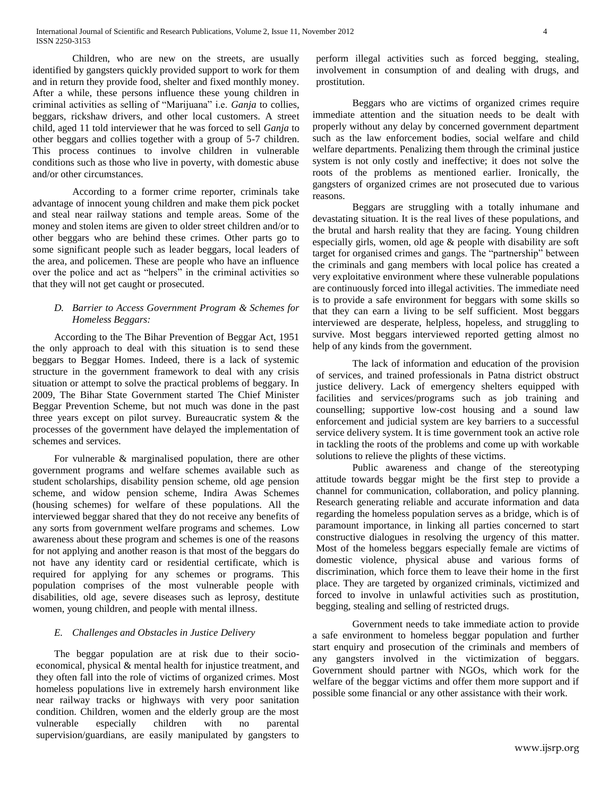Children, who are new on the streets, are usually identified by gangsters quickly provided support to work for them and in return they provide food, shelter and fixed monthly money. After a while, these persons influence these young children in criminal activities as selling of "Marijuana" i.e. *Ganja* to collies, beggars, rickshaw drivers, and other local customers. A street child, aged 11 told interviewer that he was forced to sell *Ganja* to other beggars and collies together with a group of 5-7 children. This process continues to involve children in vulnerable conditions such as those who live in poverty, with domestic abuse and/or other circumstances.

According to a former crime reporter, criminals take advantage of innocent young children and make them pick pocket and steal near railway stations and temple areas. Some of the money and stolen items are given to older street children and/or to other beggars who are behind these crimes. Other parts go to some significant people such as leader beggars, local leaders of the area, and policemen. These are people who have an influence over the police and act as "helpers" in the criminal activities so that they will not get caught or prosecuted.

#### *D. Barrier to Access Government Program & Schemes for Homeless Beggars:*

According to the The Bihar Prevention of Beggar Act, 1951 the only approach to deal with this situation is to send these beggars to Beggar Homes. Indeed, there is a lack of systemic structure in the government framework to deal with any crisis situation or attempt to solve the practical problems of beggary. In 2009, The Bihar State Government started The Chief Minister Beggar Prevention Scheme, but not much was done in the past three years except on pilot survey. Bureaucratic system & the processes of the government have delayed the implementation of schemes and services.

For vulnerable & marginalised population, there are other government programs and welfare schemes available such as student scholarships, disability pension scheme, old age pension scheme, and widow pension scheme, Indira Awas Schemes (housing schemes) for welfare of these populations. All the interviewed beggar shared that they do not receive any benefits of any sorts from government welfare programs and schemes. Low awareness about these program and schemes is one of the reasons for not applying and another reason is that most of the beggars do not have any identity card or residential certificate, which is required for applying for any schemes or programs. This population comprises of the most vulnerable people with disabilities, old age, severe diseases such as leprosy, destitute women, young children, and people with mental illness.

### *E. Challenges and Obstacles in Justice Delivery*

The beggar population are at risk due to their socioeconomical, physical & mental health for injustice treatment, and they often fall into the role of victims of organized crimes. Most homeless populations live in extremely harsh environment like near railway tracks or highways with very poor sanitation condition. Children, women and the elderly group are the most vulnerable especially children with no parental supervision/guardians, are easily manipulated by gangsters to perform illegal activities such as forced begging, stealing, involvement in consumption of and dealing with drugs, and prostitution.

Beggars who are victims of organized crimes require immediate attention and the situation needs to be dealt with properly without any delay by concerned government department such as the law enforcement bodies, social welfare and child welfare departments. Penalizing them through the criminal justice system is not only costly and ineffective; it does not solve the roots of the problems as mentioned earlier. Ironically, the gangsters of organized crimes are not prosecuted due to various reasons.

Beggars are struggling with a totally inhumane and devastating situation. It is the real lives of these populations, and the brutal and harsh reality that they are facing. Young children especially girls, women, old age & people with disability are soft target for organised crimes and gangs. The "partnership" between the criminals and gang members with local police has created a very exploitative environment where these vulnerable populations are continuously forced into illegal activities. The immediate need is to provide a safe environment for beggars with some skills so that they can earn a living to be self sufficient. Most beggars interviewed are desperate, helpless, hopeless, and struggling to survive. Most beggars interviewed reported getting almost no help of any kinds from the government.

The lack of information and education of the provision of services, and trained professionals in Patna district obstruct justice delivery. Lack of emergency shelters equipped with facilities and services/programs such as job training and counselling; supportive low-cost housing and a sound law enforcement and judicial system are key barriers to a successful service delivery system. It is time government took an active role in tackling the roots of the problems and come up with workable solutions to relieve the plights of these victims.

Public awareness and change of the stereotyping attitude towards beggar might be the first step to provide a channel for communication, collaboration, and policy planning. Research generating reliable and accurate information and data regarding the homeless population serves as a bridge, which is of paramount importance, in linking all parties concerned to start constructive dialogues in resolving the urgency of this matter. Most of the homeless beggars especially female are victims of domestic violence, physical abuse and various forms of discrimination, which force them to leave their home in the first place. They are targeted by organized criminals, victimized and forced to involve in unlawful activities such as prostitution, begging, stealing and selling of restricted drugs.

Government needs to take immediate action to provide a safe environment to homeless beggar population and further start enquiry and prosecution of the criminals and members of any gangsters involved in the victimization of beggars. Government should partner with NGOs, which work for the welfare of the beggar victims and offer them more support and if possible some financial or any other assistance with their work.